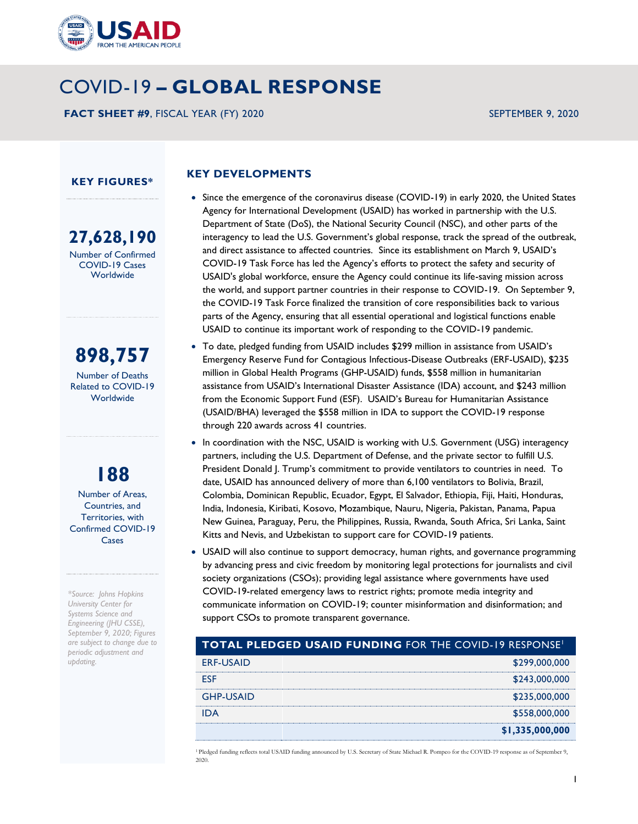

# COVID-19 **– GLOBAL RESPONSE**

**FACT SHEET #9**, FISCAL YEAR (FY) 2020 SEPTEMBER 9, 2020

#### **KEY FIGURES\***

**27,628,190** Number of Confirmed COVID-19 Cases **Worldwide** 

# **898,757**

Number of Deaths Related to COVID-19 Worldwide

**188** Number of Areas, Countries, and

Territories, with Confirmed COVID-19 Cases

*\*Source: Johns Hopkins University Center for Systems Science and Engineering (JHU CSSE), September 9, 2020; Figures are subject to change due to periodic adjustment and updating.*

### **KEY DEVELOPMENTS**

- Since the emergence of the coronavirus disease (COVID-19) in early 2020, the United States Agency for International Development (USAID) has worked in partnership with the U.S. Department of State (DoS), the National Security Council (NSC), and other parts of the interagency to lead the U.S. Government's global response, track the spread of the outbreak, and direct assistance to affected countries. Since its establishment on March 9, USAID's COVID-19 Task Force has led the Agency's efforts to protect the safety and security of USAID's global workforce, ensure the Agency could continue its life-saving mission across the world, and support partner countries in their response to COVID-19. On September 9, the COVID-19 Task Force finalized the transition of core responsibilities back to various parts of the Agency, ensuring that all essential operational and logistical functions enable USAID to continue its important work of responding to the COVID-19 pandemic.
- To date, pledged funding from USAID includes \$299 million in assistance from USAID's Emergency Reserve Fund for Contagious Infectious-Disease Outbreaks (ERF-USAID), \$235 million in Global Health Programs (GHP-USAID) funds, \$558 million in humanitarian assistance from USAID's International Disaster Assistance (IDA) account, and \$243 million from the Economic Support Fund (ESF). USAID's Bureau for Humanitarian Assistance (USAID/BHA) leveraged the \$558 million in IDA to support the COVID-19 response through 220 awards across 41 countries.
- In coordination with the NSC, USAID is working with U.S. Government (USG) interagency partners, including the U.S. Department of Defense, and the private sector to fulfill U.S. President Donald J. Trump's commitment to provide ventilators to countries in need. To date, USAID has announced delivery of more than 6,100 ventilators to Bolivia, Brazil, Colombia, Dominican Republic, Ecuador, Egypt, El Salvador, Ethiopia, Fiji, Haiti, Honduras, India, Indonesia, Kiribati, Kosovo, Mozambique, Nauru, Nigeria, Pakistan, Panama, Papua New Guinea, Paraguay, Peru, the Philippines, Russia, Rwanda, South Africa, Sri Lanka, Saint Kitts and Nevis, and Uzbekistan to support care for COVID-19 patients.
- USAID will also continue to support democracy, human rights, and governance programming by advancing press and civic freedom by monitoring legal protections for journalists and civil society organizations (CSOs); providing legal assistance where governments have used COVID-19-related emergency laws to restrict rights; promote media integrity and communicate information on COVID-19; counter misinformation and disinformation; and support CSOs to promote transparent governance.

| <b>TOTAL PLEDGED USAID FUNDING FOR THE COVID-19 RESPONSE</b> |                 |
|--------------------------------------------------------------|-----------------|
| <b>ERF-USAID</b>                                             | \$299,000,000   |
| <b>FSF</b>                                                   | \$243,000,000   |
| <b>GHP-USAID</b>                                             | \$235,000,000   |
|                                                              | \$558,000,000   |
|                                                              | \$1,335,000,000 |

<sup>1</sup>Pledged funding reflects total USAID funding announced by U.S. Secretary of State Michael R. Pompeo for the COVID-19 response as of September 9, 2020.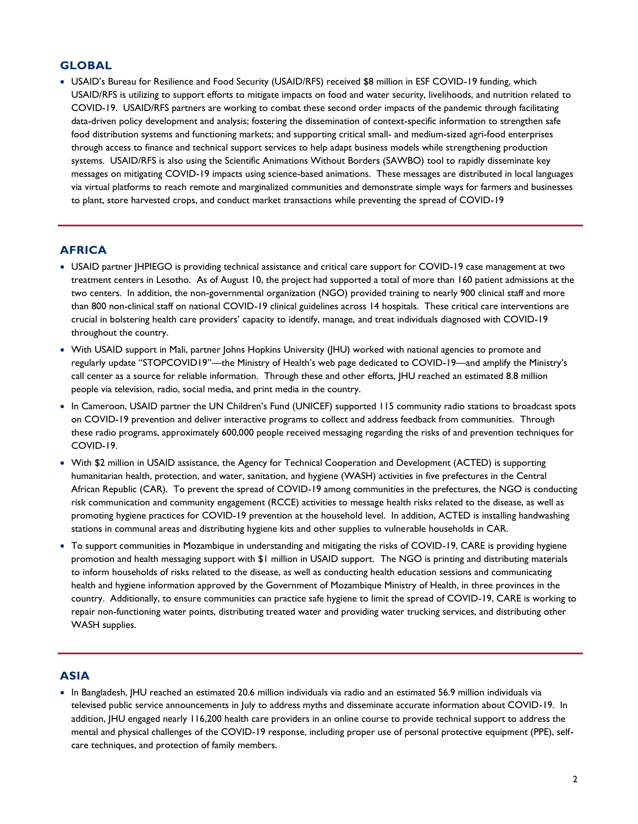## **GLOBAL**

 USAID's Bureau for Resilience and Food Security (USAID/RFS) received \$8 million in ESF COVID-19 funding, which USAID/RFS is utilizing to support efforts to mitigate impacts on food and water security, livelihoods, and nutrition related to COVID-19. USAID/RFS partners are working to combat these second order impacts of the pandemic through facilitating data-driven policy development and analysis; fostering the dissemination of context-specific information to strengthen safe food distribution systems and functioning markets; and supporting critical small- and medium-sized agri-food enterprises through access to finance and technical support services to help adapt business models while strengthening production systems. USAID/RFS is also using the [Scientific Animations Without Borders \(SAWBO\)](https://sawbo-animations.org/626) tool to rapidly disseminate key messages on mitigating COVID-19 impacts using science-based animations. These messages are distributed in local languages via virtual platforms to reach remote and marginalized communities and demonstrate simple ways for farmers and businesses to plant, store harvested crops, and conduct market transactions while preventing the spread of COVID-19

#### **AFRICA**

- USAID partner JHPIEGO is providing technical assistance and critical care support for COVID-19 case management at two treatment centers in Lesotho. As of August 10, the project had supported a total of more than 160 patient admissions at the two centers. In addition, the non-governmental organization (NGO) provided training to nearly 900 clinical staff and more than 800 non-clinical staff on national COVID-19 clinical guidelines across 14 hospitals. These critical care interventions are crucial in bolstering health care providers' capacity to identify, manage, and treat individuals diagnosed with COVID-19 throughout the country.
- With USAID support in Mali, partner Johns Hopkins University (JHU) worked with national agencies to promote and regularly update "STOPCOVID19"—the Ministry of Health's web page dedicated to COVID-19—and amplify the Ministry's call center as a source for reliable information. Through these and other efforts, JHU reached an estimated 8.8 million people via television, radio, social media, and print media in the country.
- In Cameroon, USAID partner the UN Children's Fund (UNICEF) supported 115 community radio stations to broadcast spots on COVID-19 prevention and deliver interactive programs to collect and address feedback from communities. Through these radio programs, approximately 600,000 people received messaging regarding the risks of and prevention techniques for COVID-19.
- With \$2 million in USAID assistance, the Agency for Technical Cooperation and Development (ACTED) is supporting humanitarian health, protection, and water, sanitation, and hygiene (WASH) activities in five prefectures in the Central African Republic (CAR). To prevent the spread of COVID-19 among communities in the prefectures, the NGO is conducting risk communication and community engagement (RCCE) activities to message health risks related to the disease, as well as promoting hygiene practices for COVID-19 prevention at the household level. In addition, ACTED is installing handwashing stations in communal areas and distributing hygiene kits and other supplies to vulnerable households in CAR.
- To support communities in Mozambique in understanding and mitigating the risks of COVID-19, CARE is providing hygiene promotion and health messaging support with \$1 million in USAID support. The NGO is printing and distributing materials to inform households of risks related to the disease, as well as conducting health education sessions and communicating health and hygiene information approved by the Government of Mozambique Ministry of Health, in three provinces in the country. Additionally, to ensure communities can practice safe hygiene to limit the spread of COVID-19, CARE is working to repair non-functioning water points, distributing treated water and providing water trucking services, and distributing other WASH supplies.

#### **ASIA**

• In Bangladesh, IHU reached an estimated 20.6 million individuals via radio and an estimated 56.9 million individuals via televised public service announcements in July to address myths and disseminate accurate information about COVID-19. In addition, JHU engaged nearly 116,200 health care providers in an online course to provide technical support to address the mental and physical challenges of the COVID-19 response, including proper use of personal protective equipment (PPE), selfcare techniques, and protection of family members.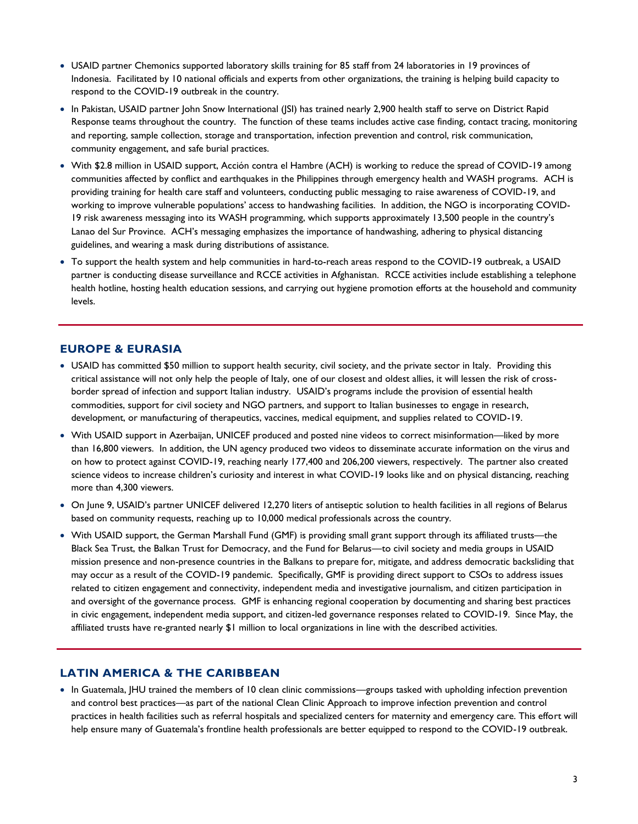- USAID partner Chemonics supported laboratory skills training for 85 staff from 24 laboratories in 19 provinces of Indonesia. Facilitated by 10 national officials and experts from other organizations, the training is helping build capacity to respond to the COVID-19 outbreak in the country.
- In Pakistan, USAID partner John Snow International (JSI) has trained nearly 2,900 health staff to serve on District Rapid Response teams throughout the country. The function of these teams includes active case finding, contact tracing, monitoring and reporting, sample collection, storage and transportation, infection prevention and control, risk communication, community engagement, and safe burial practices.
- With \$2.8 million in USAID support, Acción contra el Hambre (ACH) is working to reduce the spread of COVID-19 among communities affected by conflict and earthquakes in the Philippines through emergency health and WASH programs. ACH is providing training for health care staff and volunteers, conducting public messaging to raise awareness of COVID-19, and working to improve vulnerable populations' access to handwashing facilities. In addition, the NGO is incorporating COVID-19 risk awareness messaging into its WASH programming, which supports approximately 13,500 people in the country's Lanao del Sur Province. ACH's messaging emphasizes the importance of handwashing, adhering to physical distancing guidelines, and wearing a mask during distributions of assistance.
- To support the health system and help communities in hard-to-reach areas respond to the COVID-19 outbreak, a USAID partner is conducting disease surveillance and RCCE activities in Afghanistan. RCCE activities include establishing a telephone health hotline, hosting health education sessions, and carrying out hygiene promotion efforts at the household and community levels.

## **EUROPE & EURASIA**

- USAID has committed \$50 million to support health security, civil society, and the private sector in Italy. Providing this critical assistance will not only help the people of Italy, one of our closest and oldest allies, it will lessen the risk of crossborder spread of infection and support Italian industry. USAID's programs include the provision of essential health commodities, support for civil society and NGO partners, and support to Italian businesses to engage in research, development, or manufacturing of therapeutics, vaccines, medical equipment, and supplies related to COVID-19.
- With USAID support in Azerbaijan, UNICEF produced and posted nine videos to correct misinformation—liked by more than 16,800 viewers. In addition, the UN agency produced two videos to disseminate accurate information on the virus and on how to protect against COVID-19, reaching nearly 177,400 and 206,200 viewers, respectively. The partner also created science videos to increase children's curiosity and interest in what COVID-19 looks like and on physical distancing, reaching more than 4,300 viewers.
- On June 9, USAID's partner UNICEF delivered 12,270 liters of antiseptic solution to health facilities in all regions of Belarus based on community requests, reaching up to 10,000 medical professionals across the country.
- With USAID support, the German Marshall Fund (GMF) is providing small grant support through its affiliated trusts—the Black Sea Trust, the Balkan Trust for Democracy, and the Fund for Belarus—to civil society and media groups in USAID mission presence and non-presence countries in the Balkans to prepare for, mitigate, and address democratic backsliding that may occur as a result of the COVID-19 pandemic. Specifically, GMF is providing direct support to CSOs to address issues related to citizen engagement and connectivity, independent media and investigative journalism, and citizen participation in and oversight of the governance process. GMF is enhancing regional cooperation by documenting and sharing best practices in civic engagement, independent media support, and citizen-led governance responses related to COVID-19. Since May, the affiliated trusts have re-granted nearly \$1 million to local organizations in line with the described activities.

#### **LATIN AMERICA & THE CARIBBEAN**

• In Guatemala, JHU trained the members of 10 clean clinic commissions—groups tasked with upholding infection prevention and control best practices—as part of the national Clean Clinic Approach to improve infection prevention and control practices in health facilities such as referral hospitals and specialized centers for maternity and emergency care. This effort will help ensure many of Guatemala's frontline health professionals are better equipped to respond to the COVID-19 outbreak.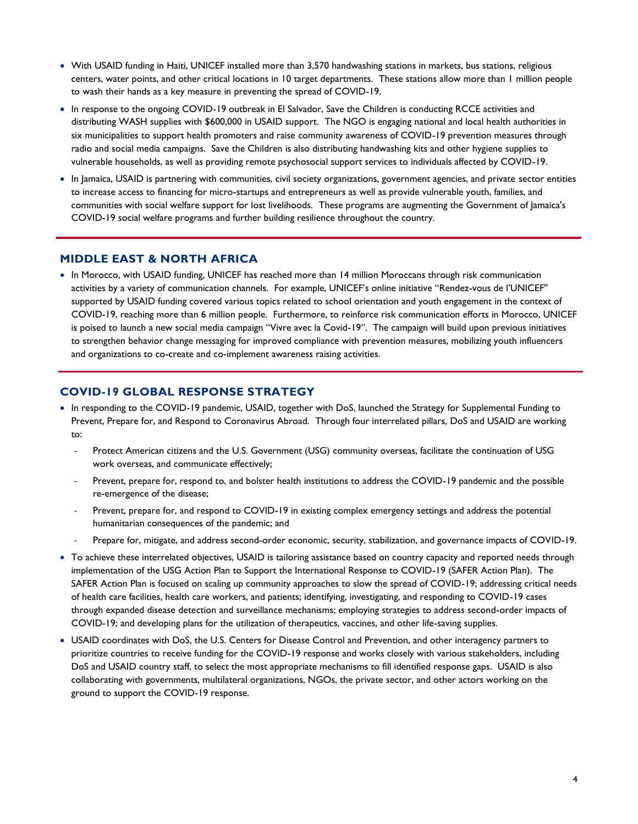- With USAID funding in Haiti, UNICEF installed more than 3,570 handwashing stations in markets, bus stations, religious centers, water points, and other critical locations in 10 target departments. These stations allow more than 1 million people to wash their hands as a key measure in preventing the spread of COVID-19.
- In response to the ongoing COVID-19 outbreak in El Salvador, Save the Children is conducting RCCE activities and distributing WASH supplies with \$600,000 in USAID support. The NGO is engaging national and local health authorities in six municipalities to support health promoters and raise community awareness of COVID-19 prevention measures through radio and social media campaigns. Save the Children is also distributing handwashing kits and other hygiene supplies to vulnerable households, as well as providing remote psychosocial support services to individuals affected by COVID-19.
- In Jamaica, USAID is partnering with communities, civil society organizations, government agencies, and private sector entities to increase access to financing for micro-startups and entrepreneurs as well as provide vulnerable youth, families, and communities with social welfare support for lost livelihoods. These programs are augmenting the Government of Jamaica's COVID-19 social welfare programs and further building resilience throughout the country.

#### **MIDDLE EAST & NORTH AFRICA**

• In Morocco, with USAID funding, UNICEF has reached more than 14 million Moroccans through risk communication activities by a variety of communication channels. For example, UNICEF's online initiative "Rendez-vous de l'UNICEF'' supported by USAID funding covered various topics related to school orientation and youth engagement in the context of COVID-19, reaching more than 6 million people. Furthermore, to reinforce risk communication efforts in Morocco, UNICEF is poised to launch a new social media campaign "Vivre avec la Covid-19". The campaign will build upon previous initiatives to strengthen behavior change messaging for improved compliance with prevention measures, mobilizing youth influencers and organizations to co-create and co-implement awareness raising activities.

#### **COVID-19 GLOBAL RESPONSE STRATEGY**

- In responding to the COVID-19 pandemic, USAID, together with DoS, launched the Strategy for Supplemental Funding to Prevent, Prepare for, and Respond to Coronavirus Abroad. Through four interrelated pillars, DoS and USAID are working to:
	- Protect American citizens and the U.S. Government (USG) community overseas, facilitate the continuation of USG work overseas, and communicate effectively;
	- Prevent, prepare for, respond to, and bolster health institutions to address the COVID-19 pandemic and the possible re-emergence of the disease;
	- Prevent, prepare for, and respond to COVID-19 in existing complex emergency settings and address the potential humanitarian consequences of the pandemic; and
	- Prepare for, mitigate, and address second-order economic, security, stabilization, and governance impacts of COVID-19.
- To achieve these interrelated objectives, USAID is tailoring assistance based on country capacity and reported needs through implementation of the USG Action Plan to Support the International Response to COVID-19 (SAFER Action Plan). The SAFER Action Plan is focused on scaling up community approaches to slow the spread of COVID-19; addressing critical needs of health care facilities, health care workers, and patients; identifying, investigating, and responding to COVID-19 cases through expanded disease detection and surveillance mechanisms; employing strategies to address second-order impacts of COVID-19; and developing plans for the utilization of therapeutics, vaccines, and other life-saving supplies.
- USAID coordinates with DoS, the U.S. Centers for Disease Control and Prevention, and other interagency partners to prioritize countries to receive funding for the COVID-19 response and works closely with various stakeholders, including DoS and USAID country staff, to select the most appropriate mechanisms to fill identified response gaps. USAID is also collaborating with governments, multilateral organizations, NGOs, the private sector, and other actors working on the ground to support the COVID-19 response.